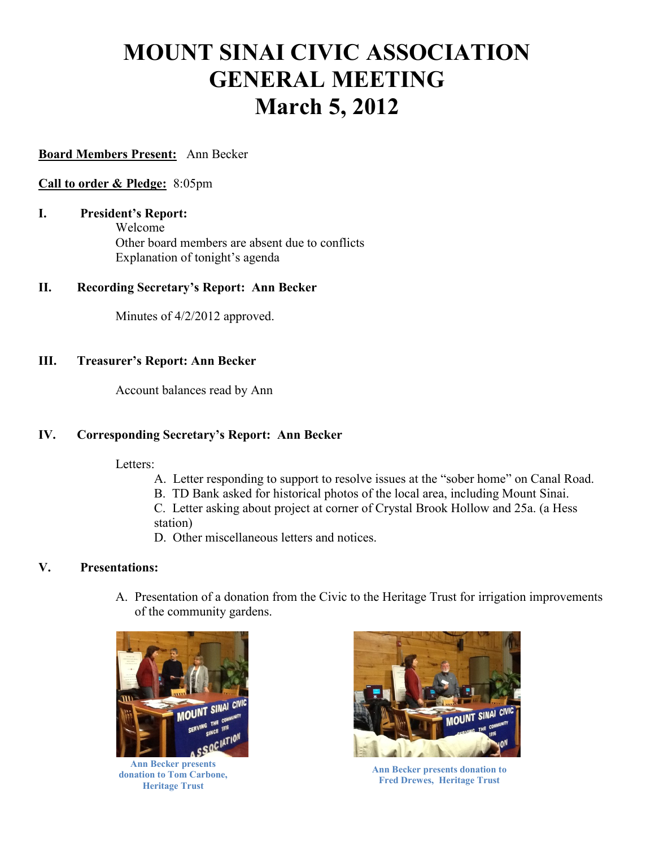# **MOUNT SINAI CIVIC ASSOCIATION GENERAL MEETING March 5, 2012**

### **Board Members Present:** Ann Becker

#### **Call to order & Pledge:** 8:05pm

**I. President's Report:**  Welcome Other board members are absent due to conflicts Explanation of tonight's agenda

#### **II. Recording Secretary's Report: Ann Becker**

Minutes of 4/2/2012 approved.

#### **III. Treasurer's Report: Ann Becker**

Account balances read by Ann

# **IV. Corresponding Secretary's Report: Ann Becker**

Letters:

- A. Letter responding to support to resolve issues at the "sober home" on Canal Road.
- B. TD Bank asked for historical photos of the local area, including Mount Sinai.

C. Letter asking about project at corner of Crystal Brook Hollow and 25a. (a Hess station)

D. Other miscellaneous letters and notices.

# **V. Presentations:**

A. Presentation of a donation from the Civic to the Heritage Trust for irrigation improvements of the community gardens.



**Ann Becker presents donation to Tom Carbone, Heritage Trust**



**Ann Becker presents donation to Fred Drewes, Heritage Trust**